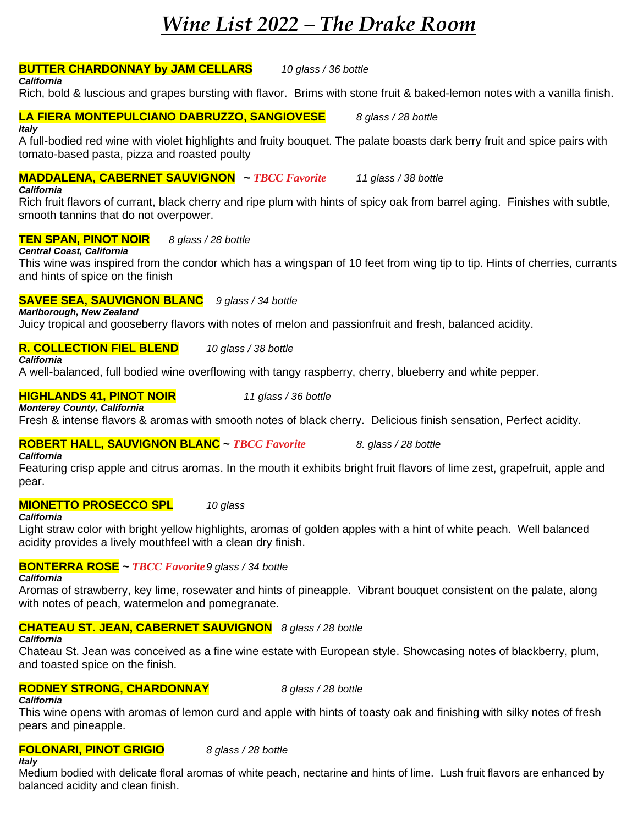# *Wine List 2022 – The Drake Room*

## **BUTTER CHARDONNAY by JAM CELLARS** *10 glass / 36 bottle California*

Rich, bold & luscious and grapes bursting with flavor. Brims with stone fruit & baked-lemon notes with a vanilla finish.

#### **LA FIERA MONTEPULCIANO DABRUZZO, SANGIOVESE** *8 glass / 28 bottle Italy*

A full-bodied red wine with violet highlights and fruity bouquet. The palate boasts dark berry fruit and spice pairs with tomato-based pasta, pizza and roasted poulty

# **MADDALENA, CABERNET SAUVIGNON ~** *TBCC Favorite 11 glass / 38 bottle*

*California*

Rich fruit flavors of currant, black cherry and ripe plum with hints of spicy oak from barrel aging. Finishes with subtle, smooth tannins that do not overpower.

# **TEN SPAN, PINOT NOIR** *8 glass / 28 bottle*

*Central Coast, California* This wine was inspired from the condor which has a wingspan of 10 feet from wing tip to tip. Hints of cherries, currants and hints of spice on the finish

# **SAVEE SEA, SAUVIGNON BLANC** *9 glass / 34 bottle*

*Marlborough, New Zealand*

Juicy tropical and gooseberry flavors with notes of melon and passionfruit and fresh, balanced acidity.

#### **R. COLLECTION FIEL BLEND** *10 glass / 38 bottle California*

A well-balanced, full bodied wine overflowing with tangy raspberry, cherry, blueberry and white pepper.

### **HIGHLANDS 41, PINOT NOIR** *11 glass / 36 bottle Monterey County, California*

Fresh & intense flavors & aromas with smooth notes of black cherry. Delicious finish sensation, Perfect acidity.

# **ROBERT HALL, SAUVIGNON BLANC ~** *TBCC Favorite 8. glass / 28 bottle*

*California*

Featuring crisp apple and citrus aromas. In the mouth it exhibits bright fruit flavors of lime zest, grapefruit, apple and pear.

# **MIONETTO PROSECCO SPL** *10 glass*

## *California*

Light straw color with bright yellow highlights, aromas of golden apples with a hint of white peach. Well balanced acidity provides a lively mouthfeel with a clean dry finish.

# **BONTERRA ROSE ~** *TBCC Favorite9 glass / 34 bottle*

*California*

Aromas of strawberry, key lime, rosewater and hints of pineapple. Vibrant bouquet consistent on the palate, along with notes of peach, watermelon and pomegranate.

# **CHATEAU ST. JEAN, CABERNET SAUVIGNON** *8 glass / 28 bottle*

## *California*

Chateau St. Jean was conceived as a fine wine estate with European style. Showcasing notes of blackberry, plum, and toasted spice on the finish.

# **RODNEY STRONG, CHARDONNAY** *8 glass / 28 bottle*

*California*

This wine opens with aromas of lemon curd and apple with hints of toasty oak and finishing with silky notes of fresh pears and pineapple.

#### **FOLONARI, PINOT GRIGIO** *8 glass / 28 bottle Italy*

Medium bodied with delicate floral aromas of white peach, nectarine and hints of lime. Lush fruit flavors are enhanced by balanced acidity and clean finish.